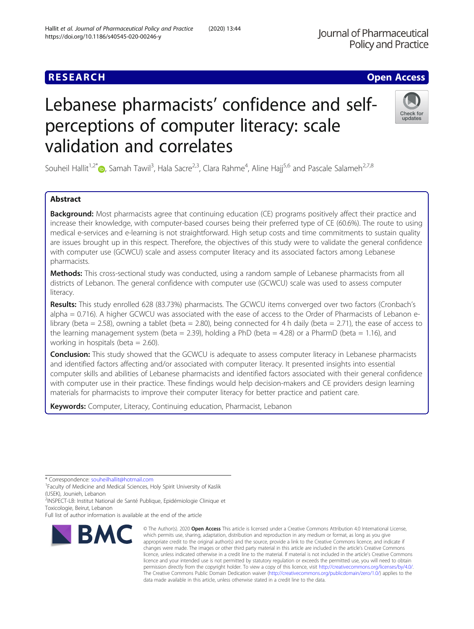# Lebanese pharmacists' confidence and selfperceptions of computer literacy: scale validation and correlates

Souheil Hallit<sup>1,2[\\*](http://orcid.org/0000-0001-6918-5689)</sup>®, Samah Tawil<sup>3</sup>, Hala Sacre<sup>2,3</sup>, Clara Rahme<sup>4</sup>, Aline Hajj<sup>5,6</sup> and Pascale Salameh<sup>2,7,8</sup>

# Abstract

Background: Most pharmacists agree that continuing education (CE) programs positively affect their practice and increase their knowledge, with computer-based courses being their preferred type of CE (60.6%). The route to using medical e-services and e-learning is not straightforward. High setup costs and time commitments to sustain quality are issues brought up in this respect. Therefore, the objectives of this study were to validate the general confidence with computer use (GCWCU) scale and assess computer literacy and its associated factors among Lebanese pharmacists.

Methods: This cross-sectional study was conducted, using a random sample of Lebanese pharmacists from all districts of Lebanon. The general confidence with computer use (GCWCU) scale was used to assess computer literacy.

Results: This study enrolled 628 (83.73%) pharmacists. The GCWCU items converged over two factors (Cronbach's alpha = 0.716). A higher GCWCU was associated with the ease of access to the Order of Pharmacists of Lebanon elibrary (beta = 2.58), owning a tablet (beta = 2.80), being connected for 4 h daily (beta = 2.71), the ease of access to the learning management system (beta = 2.39), holding a PhD (beta = 4.28) or a PharmD (beta = 1.16), and working in hospitals (beta  $= 2.60$ ).

**Conclusion:** This study showed that the GCWCU is adequate to assess computer literacy in Lebanese pharmacists and identified factors affecting and/or associated with computer literacy. It presented insights into essential computer skills and abilities of Lebanese pharmacists and identified factors associated with their general confidence with computer use in their practice. These findings would help decision-makers and CE providers design learning materials for pharmacists to improve their computer literacy for better practice and patient care.

Keywords: Computer, Literacy, Continuing education, Pharmacist, Lebanon

\* Correspondence: [souheilhallit@hotmail.com](mailto:souheilhallit@hotmail.com) <sup>1</sup>

<sup>1</sup> Faculty of Medicine and Medical Sciences, Holy Spirit University of Kaslik (USEK), Jounieh, Lebanon

<sup>2</sup>INSPECT-LB: Institut National de Santé Publique, Epidémiologie Clinique et Toxicologie, Beirut, Lebanon

Full list of author information is available at the end of the article



© The Author(s), 2020 **Open Access** This article is licensed under a Creative Commons Attribution 4.0 International License,



**RESEARCH CHE Open Access** 

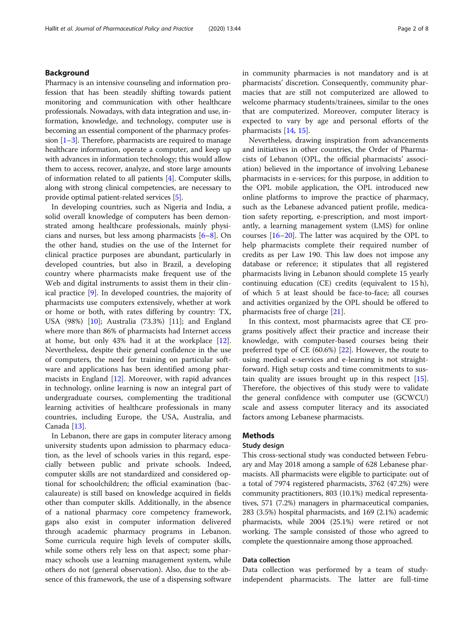# Background

Pharmacy is an intensive counseling and information profession that has been steadily shifting towards patient monitoring and communication with other healthcare professionals. Nowadays, with data integration and use, information, knowledge, and technology, computer use is becoming an essential component of the pharmacy profession  $[1-3]$  $[1-3]$  $[1-3]$ . Therefore, pharmacists are required to manage healthcare information, operate a computer, and keep up with advances in information technology; this would allow them to access, recover, analyze, and store large amounts of information related to all patients [\[4\]](#page-7-0). Computer skills, along with strong clinical competencies, are necessary to provide optimal patient-related services [\[5\]](#page-7-0).

In developing countries, such as Nigeria and India, a solid overall knowledge of computers has been demonstrated among healthcare professionals, mainly physicians and nurses, but less among pharmacists [[6](#page-7-0)–[8\]](#page-7-0). On the other hand, studies on the use of the Internet for clinical practice purposes are abundant, particularly in developed countries, but also in Brazil, a developing country where pharmacists make frequent use of the Web and digital instruments to assist them in their clinical practice [\[9](#page-7-0)]. In developed countries, the majority of pharmacists use computers extensively, whether at work or home or both, with rates differing by country: TX, USA (98%) [\[10](#page-7-0)]; Australia (73.3%) [[11\]](#page-7-0); and England where more than 86% of pharmacists had Internet access at home, but only 43% had it at the workplace [\[12](#page-7-0)]. Nevertheless, despite their general confidence in the use of computers, the need for training on particular software and applications has been identified among pharmacists in England  $[12]$  $[12]$ . Moreover, with rapid advances in technology, online learning is now an integral part of undergraduate courses, complementing the traditional learning activities of healthcare professionals in many countries, including Europe, the USA, Australia, and Canada [\[13](#page-7-0)].

In Lebanon, there are gaps in computer literacy among university students upon admission to pharmacy education, as the level of schools varies in this regard, especially between public and private schools. Indeed, computer skills are not standardized and considered optional for schoolchildren; the official examination (baccalaureate) is still based on knowledge acquired in fields other than computer skills. Additionally, in the absence of a national pharmacy core competency framework, gaps also exist in computer information delivered through academic pharmacy programs in Lebanon. Some curricula require high levels of computer skills, while some others rely less on that aspect; some pharmacy schools use a learning management system, while others do not (general observation). Also, due to the absence of this framework, the use of a dispensing software in community pharmacies is not mandatory and is at pharmacists' discretion. Consequently, community pharmacies that are still not computerized are allowed to welcome pharmacy students/trainees, similar to the ones that are computerized. Moreover, computer literacy is expected to vary by age and personal efforts of the pharmacists [[14,](#page-7-0) [15](#page-7-0)].

Nevertheless, drawing inspiration from advancements and initiatives in other countries, the Order of Pharmacists of Lebanon (OPL, the official pharmacists' association) believed in the importance of involving Lebanese pharmacists in e-services; for this purpose, in addition to the OPL mobile application, the OPL introduced new online platforms to improve the practice of pharmacy, such as the Lebanese advanced patient profile, medication safety reporting, e-prescription, and most importantly, a learning management system (LMS) for online courses [[16](#page-7-0)–[20](#page-7-0)]. The latter was acquired by the OPL to help pharmacists complete their required number of credits as per Law 190. This law does not impose any database or reference; it stipulates that all registered pharmacists living in Lebanon should complete 15 yearly continuing education (CE) credits (equivalent to 15 h), of which 5 at least should be face-to-face; all courses and activities organized by the OPL should be offered to pharmacists free of charge [[21\]](#page-7-0).

In this context, most pharmacists agree that CE programs positively affect their practice and increase their knowledge, with computer-based courses being their preferred type of CE (60.6%) [[22\]](#page-7-0). However, the route to using medical e-services and e-learning is not straightforward. High setup costs and time commitments to sustain quality are issues brought up in this respect  $[15]$  $[15]$ . Therefore, the objectives of this study were to validate the general confidence with computer use (GCWCU) scale and assess computer literacy and its associated factors among Lebanese pharmacists.

# Methods

#### Study design

This cross-sectional study was conducted between February and May 2018 among a sample of 628 Lebanese pharmacists. All pharmacists were eligible to participate: out of a total of 7974 registered pharmacists, 3762 (47.2%) were community practitioners, 803 (10.1%) medical representatives, 571 (7.2%) managers in pharmaceutical companies, 283 (3.5%) hospital pharmacists, and 169 (2.1%) academic pharmacists, while 2004 (25.1%) were retired or not working. The sample consisted of those who agreed to complete the questionnaire among those approached.

## Data collection

Data collection was performed by a team of studyindependent pharmacists. The latter are full-time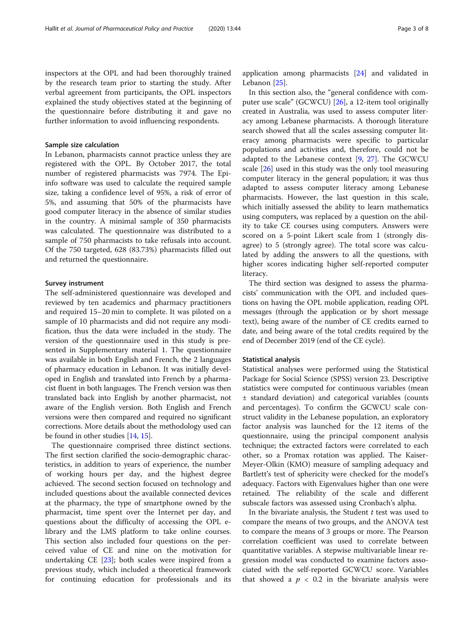inspectors at the OPL and had been thoroughly trained by the research team prior to starting the study. After verbal agreement from participants, the OPL inspectors explained the study objectives stated at the beginning of the questionnaire before distributing it and gave no further information to avoid influencing respondents.

#### Sample size calculation

In Lebanon, pharmacists cannot practice unless they are registered with the OPL. By October 2017, the total number of registered pharmacists was 7974. The Epiinfo software was used to calculate the required sample size, taking a confidence level of 95%, a risk of error of 5%, and assuming that 50% of the pharmacists have good computer literacy in the absence of similar studies in the country. A minimal sample of 350 pharmacists was calculated. The questionnaire was distributed to a sample of 750 pharmacists to take refusals into account. Of the 750 targeted, 628 (83.73%) pharmacists filled out and returned the questionnaire.

#### Survey instrument

The self-administered questionnaire was developed and reviewed by ten academics and pharmacy practitioners and required 15–20 min to complete. It was piloted on a sample of 10 pharmacists and did not require any modification, thus the data were included in the study. The version of the questionnaire used in this study is presented in Supplementary material 1. The questionnaire was available in both English and French, the 2 languages of pharmacy education in Lebanon. It was initially developed in English and translated into French by a pharmacist fluent in both languages. The French version was then translated back into English by another pharmacist, not aware of the English version. Both English and French versions were then compared and required no significant corrections. More details about the methodology used can be found in other studies [\[14](#page-7-0), [15](#page-7-0)].

The questionnaire comprised three distinct sections. The first section clarified the socio-demographic characteristics, in addition to years of experience, the number of working hours per day, and the highest degree achieved. The second section focused on technology and included questions about the available connected devices at the pharmacy, the type of smartphone owned by the pharmacist, time spent over the Internet per day, and questions about the difficulty of accessing the OPL elibrary and the LMS platform to take online courses. This section also included four questions on the perceived value of CE and nine on the motivation for undertaking CE  $[23]$ ; both scales were inspired from a previous study, which included a theoretical framework for continuing education for professionals and its

application among pharmacists [[24\]](#page-7-0) and validated in Lebanon [\[25](#page-7-0)].

In this section also, the "general confidence with computer use scale" (GCWCU) [[26\]](#page-7-0), a 12-item tool originally created in Australia, was used to assess computer literacy among Lebanese pharmacists. A thorough literature search showed that all the scales assessing computer literacy among pharmacists were specific to particular populations and activities and, therefore, could not be adapted to the Lebanese context [[9,](#page-7-0) [27](#page-7-0)]. The GCWCU scale [[26](#page-7-0)] used in this study was the only tool measuring computer literacy in the general population; it was thus adapted to assess computer literacy among Lebanese pharmacists. However, the last question in this scale, which initially assessed the ability to learn mathematics using computers, was replaced by a question on the ability to take CE courses using computers. Answers were scored on a 5-point Likert scale from 1 (strongly disagree) to 5 (strongly agree). The total score was calculated by adding the answers to all the questions, with higher scores indicating higher self-reported computer literacy.

The third section was designed to assess the pharmacists' communication with the OPL and included questions on having the OPL mobile application, reading OPL messages (through the application or by short message text), being aware of the number of CE credits earned to date, and being aware of the total credits required by the end of December 2019 (end of the CE cycle).

#### Statistical analysis

Statistical analyses were performed using the Statistical Package for Social Science (SPSS) version 23. Descriptive statistics were computed for continuous variables (mean ± standard deviation) and categorical variables (counts and percentages). To confirm the GCWCU scale construct validity in the Lebanese population, an exploratory factor analysis was launched for the 12 items of the questionnaire, using the principal component analysis technique; the extracted factors were correlated to each other, so a Promax rotation was applied. The Kaiser-Meyer-Olkin (KMO) measure of sampling adequacy and Bartlett's test of sphericity were checked for the model's adequacy. Factors with Eigenvalues higher than one were retained. The reliability of the scale and different subscale factors was assessed using Cronbach's alpha.

In the bivariate analysis, the Student  $t$  test was used to compare the means of two groups, and the ANOVA test to compare the means of 3 groups or more. The Pearson correlation coefficient was used to correlate between quantitative variables. A stepwise multivariable linear regression model was conducted to examine factors associated with the self-reported GCWCU score. Variables that showed a  $p < 0.2$  in the bivariate analysis were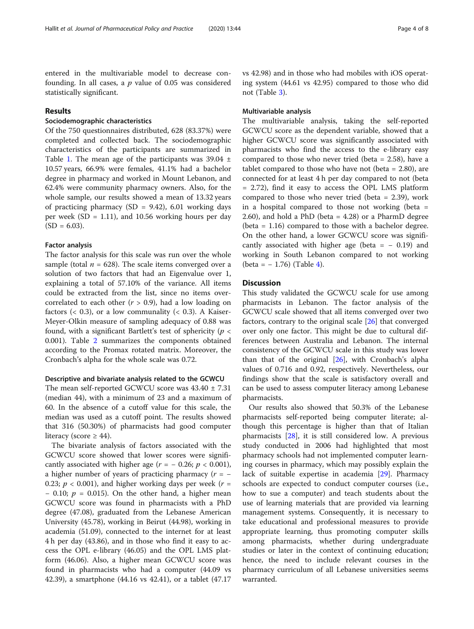entered in the multivariable model to decrease confounding. In all cases, a  $p$  value of 0.05 was considered statistically significant.

# Results

#### Sociodemographic characteristics

Of the 750 questionnaires distributed, 628 (83.37%) were completed and collected back. The sociodemographic characteristics of the participants are summarized in Table [1.](#page-4-0) The mean age of the participants was  $39.04 \pm$ 10.57 years, 66.9% were females, 41.1% had a bachelor degree in pharmacy and worked in Mount Lebanon, and 62.4% were community pharmacy owners. Also, for the whole sample, our results showed a mean of 13.32 years of practicing pharmacy (SD = 9.42), 6.01 working days per week (SD = 1.11), and 10.56 working hours per day  $(SD = 6.03)$ .

#### Factor analysis

The factor analysis for this scale was run over the whole sample (total  $n = 628$ ). The scale items converged over a solution of two factors that had an Eigenvalue over 1, explaining a total of 57.10% of the variance. All items could be extracted from the list, since no items overcorrelated to each other  $(r > 0.9)$ , had a low loading on factors ( $\langle 0.3 \rangle$ , or a low communality ( $\langle 0.3 \rangle$ ). A Kaiser-Meyer-Olkin measure of sampling adequacy of 0.88 was found, with a significant Bartlett's test of sphericity ( $p <$ 0.001). Table [2](#page-4-0) summarizes the components obtained according to the Promax rotated matrix. Moreover, the Cronbach's alpha for the whole scale was 0.72.

# Descriptive and bivariate analysis related to the GCWCU

The mean self-reported GCWCU score was 43.40 ± 7.31 (median 44), with a minimum of 23 and a maximum of 60. In the absence of a cutoff value for this scale, the median was used as a cutoff point. The results showed that 316 (50.30%) of pharmacists had good computer literacy (score  $\geq$  44).

The bivariate analysis of factors associated with the GCWCU score showed that lower scores were significantly associated with higher age  $(r = -0.26; p < 0.001)$ , a higher number of years of practicing pharmacy ( $r = -$ 0.23;  $p < 0.001$ ), and higher working days per week ( $r =$  $-$  0.10;  $p = 0.015$ ). On the other hand, a higher mean GCWCU score was found in pharmacists with a PhD degree (47.08), graduated from the Lebanese American University (45.78), working in Beirut (44.98), working in academia (51.09), connected to the internet for at least 4 h per day (43.86), and in those who find it easy to access the OPL e-library (46.05) and the OPL LMS platform (46.06). Also, a higher mean GCWCU score was found in pharmacists who had a computer (44.09 vs 42.39), a smartphone (44.16 vs 42.41), or a tablet (47.17 vs 42.98) and in those who had mobiles with iOS operating system (44.61 vs 42.95) compared to those who did not (Table [3](#page-5-0)).

# Multivariable analysis

The multivariable analysis, taking the self-reported GCWCU score as the dependent variable, showed that a higher GCWCU score was significantly associated with pharmacists who find the access to the e-library easy compared to those who never tried (beta  $= 2.58$ ), have a tablet compared to those who have not (beta  $= 2.80$ ), are connected for at least 4 h per day compared to not (beta = 2.72), find it easy to access the OPL LMS platform compared to those who never tried (beta = 2.39), work in a hospital compared to those not working (beta = 2.60), and hold a PhD (beta = 4.28) or a PharmD degree (beta = 1.16) compared to those with a bachelor degree. On the other hand, a lower GCWCU score was significantly associated with higher age (beta =  $-0.19$ ) and working in South Lebanon compared to not working  $(beta = -1.76)$  (Table [4](#page-6-0)).

#### **Discussion**

This study validated the GCWCU scale for use among pharmacists in Lebanon. The factor analysis of the GCWCU scale showed that all items converged over two factors, contrary to the original scale [[26](#page-7-0)] that converged over only one factor. This might be due to cultural differences between Australia and Lebanon. The internal consistency of the GCWCU scale in this study was lower than that of the original [\[26](#page-7-0)], with Cronbach's alpha values of 0.716 and 0.92, respectively. Nevertheless, our findings show that the scale is satisfactory overall and can be used to assess computer literacy among Lebanese pharmacists.

Our results also showed that 50.3% of the Lebanese pharmacists self-reported being computer literate; although this percentage is higher than that of Italian pharmacists [\[28](#page-7-0)], it is still considered low. A previous study conducted in 2006 had highlighted that most pharmacy schools had not implemented computer learning courses in pharmacy, which may possibly explain the lack of suitable expertise in academia [[29\]](#page-7-0). Pharmacy schools are expected to conduct computer courses (i.e., how to sue a computer) and teach students about the use of learning materials that are provided via learning management systems. Consequently, it is necessary to take educational and professional measures to provide appropriate learning, thus promoting computer skills among pharmacists, whether during undergraduate studies or later in the context of continuing education; hence, the need to include relevant courses in the pharmacy curriculum of all Lebanese universities seems warranted.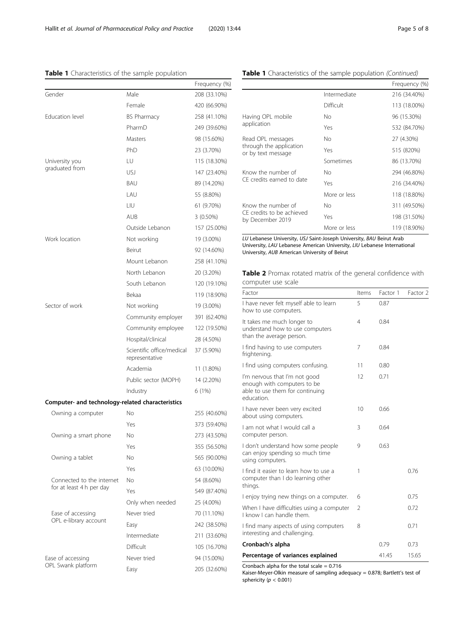# <span id="page-4-0"></span>Table 1 Characteristics of the sample population

|                                                  |                                             | Frequency (%) |  |
|--------------------------------------------------|---------------------------------------------|---------------|--|
| Gender                                           | Male                                        | 208 (33.10%)  |  |
|                                                  | Female                                      | 420 (66.90%)  |  |
| Education level                                  | <b>BS Pharmacy</b>                          | 258 (41.10%)  |  |
|                                                  | PharmD                                      | 249 (39.60%)  |  |
|                                                  | Masters                                     | 98 (15.60%)   |  |
|                                                  | PhD                                         | 23 (3.70%)    |  |
| University you                                   | LU                                          | 115 (18.30%)  |  |
| graduated from                                   | USJ                                         | 147 (23.40%)  |  |
|                                                  | <b>BAU</b>                                  | 89 (14.20%)   |  |
|                                                  | I AU                                        | 55 (8.80%)    |  |
|                                                  | LIU                                         | 61 (9.70%)    |  |
|                                                  | <b>AUB</b>                                  | 3 (0.50%)     |  |
|                                                  | Outside Lebanon                             | 157 (25.00%)  |  |
| Work location                                    | Not working                                 | 19 (3.00%)    |  |
|                                                  | Beirut                                      | 92 (14.60%)   |  |
|                                                  | Mount Lebanon                               | 258 (41.10%)  |  |
|                                                  | North Lebanon                               | 20 (3.20%)    |  |
|                                                  | South Lebanon                               | 120 (19.10%)  |  |
|                                                  | Bekaa                                       | 119 (18.90%)  |  |
| Sector of work                                   | Not working                                 | 19 (3.00%)    |  |
|                                                  | Community employer                          | 391 (62.40%)  |  |
|                                                  | Community employee                          | 122 (19.50%)  |  |
|                                                  | Hospital/clinical                           | 28 (4.50%)    |  |
|                                                  | Scientific office/medical<br>representative | 37 (5.90%)    |  |
|                                                  | Academia                                    | 11 (1.80%)    |  |
|                                                  | Public sector (MOPH)                        | 14 (2.20%)    |  |
|                                                  | Industry                                    | 6 (1%)        |  |
| Computer- and technology-related characteristics |                                             |               |  |
| Owning a computer                                | No                                          | 255 (40.60%)  |  |
|                                                  | Yes                                         | 373 (59.40%)  |  |
| Owning a smart phone                             | Νo                                          | 273 (43.50%)  |  |
|                                                  | Yes                                         | 355 (56.50%)  |  |
| Owning a tablet                                  | No                                          | 565 (90.00%)  |  |
|                                                  | Yes                                         | 63 (10.00%)   |  |
| Connected to the internet                        | No.                                         | 54 (8.60%)    |  |
| for at least 4 h per day                         | Yes                                         | 549 (87.40%)  |  |
|                                                  | Only when needed                            | 25 (4.00%)    |  |
| Ease of accessing                                | Never tried                                 | 70 (11.10%)   |  |
| OPL e-library account                            | Easy                                        | 242 (38.50%)  |  |
|                                                  | Intermediate                                | 211 (33.60%)  |  |
|                                                  | Difficult                                   | 105 (16.70%)  |  |
| Ease of accessing                                | Never tried                                 | 94 (15.00%)   |  |
| OPL Swank platform                               | Easy                                        | 205 (32.60%)  |  |

# Table 1 Characteristics of the sample population (Continued)

|                                                                     |              | Frequency (%) |
|---------------------------------------------------------------------|--------------|---------------|
|                                                                     | Intermediate | 216 (34.40%)  |
|                                                                     | Difficult    | 113 (18.00%)  |
| Having OPL mobile<br>application                                    | No           | 96 (15.30%)   |
|                                                                     | Yes          | 532 (84.70%)  |
| Read OPL messages<br>through the application<br>or by text message  | No           | 27 (4.30%)    |
|                                                                     | Yes          | 515 (820%)    |
|                                                                     | Sometimes    | 86 (13.70%)   |
| Know the number of<br>CF credits earned to date                     | No           | 294 (46.80%)  |
|                                                                     | Yes          | 216 (34.40%)  |
|                                                                     | More or less | 118 (18.80%)  |
| Know the number of<br>CF credits to be achieved<br>by December 2019 | No.          | 311 (49.50%)  |
|                                                                     | Yes          | 198 (31.50%)  |
|                                                                     | More or less | 119 (18.90%)  |

LU Lebanese University, USJ Saint-Joseph University, BAU Beirut Arab University, LAU Lebanese American University, LIU Lebanese International University, AUB American University of Beirut

Table 2 Promax rotated matrix of the general confidence with computer use scale

| Factor                                                                                                        | Items | Factor 1 | Factor 2 |
|---------------------------------------------------------------------------------------------------------------|-------|----------|----------|
| I have never felt myself able to learn<br>how to use computers.                                               | 5     | 0.87     |          |
| It takes me much longer to<br>understand how to use computers<br>than the average person.                     | 4     | 0.84     |          |
| I find having to use computers<br>frightening.                                                                | 7     | 0.84     |          |
| I find using computers confusing.                                                                             | 11    | 0.80     |          |
| I'm nervous that I'm not good<br>enough with computers to be<br>able to use them for continuing<br>education. | 12    | 0.71     |          |
| I have never been very excited<br>about using computers.                                                      | 10    | 0.66     |          |
| I am not what I would call a<br>computer person.                                                              | 3     | 0.64     |          |
| I don't understand how some people<br>can enjoy spending so much time<br>using computers.                     | 9     | 0.63     |          |
| I find it easier to learn how to use a<br>computer than I do learning other<br>things.                        | 1     |          | 0.76     |
| I enjoy trying new things on a computer.                                                                      | 6     |          | 0.75     |
| When I have difficulties using a computer<br>I know I can handle them.                                        | 2     |          | 0.72     |
| I find many aspects of using computers<br>interesting and challenging.                                        | 8     |          | 0.71     |
| Cronbach's alpha                                                                                              |       | 0.79     | 0.73     |
| Percentage of variances explained                                                                             |       | 41.45    | 15.65    |

Cronbach alpha for the total scale = 0.716

Kaiser-Meyer-Olkin measure of sampling adequacy = 0.878; Bartlett's test of sphericity  $(p < 0.001)$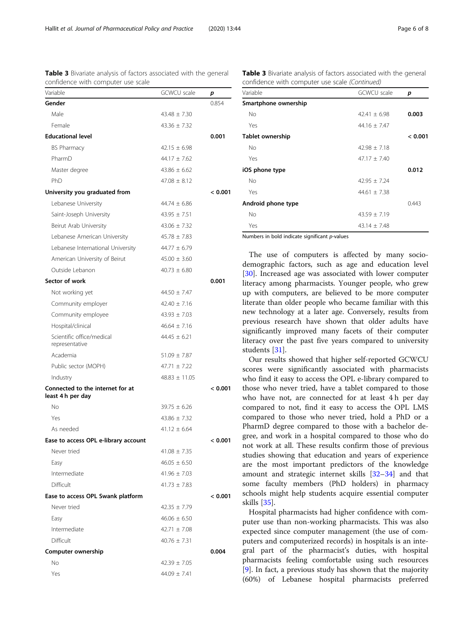| confidence with computer use scale                    |                    |         |
|-------------------------------------------------------|--------------------|---------|
| Variable                                              | <b>GCWCU</b> scale | р       |
| Gender                                                |                    | 0.854   |
| Male                                                  | $43.48 \pm 7.30$   |         |
| Female                                                | $43.36 \pm 7.32$   |         |
| <b>Educational level</b>                              |                    | 0.001   |
| <b>BS Pharmacy</b>                                    | $42.15 \pm 6.98$   |         |
| PharmD                                                | $44.17 \pm 7.62$   |         |
| Master degree                                         | $43.86 \pm 6.62$   |         |
| PhD                                                   | $47.08 \pm 8.12$   |         |
| University you graduated from                         |                    | < 0.001 |
| Lebanese University                                   | $44.74 \pm 6.86$   |         |
| Saint-Joseph University                               | $43.95 \pm 7.51$   |         |
| Beirut Arab University                                | $43.06 \pm 7.32$   |         |
| Lebanese American University                          | $45.78 + 7.83$     |         |
| Lebanese International University                     | $44.77 \pm 6.79$   |         |
| American University of Beirut                         | $45.00 \pm 3.60$   |         |
| Outside Lebanon                                       | $40.73 + 6.80$     |         |
| Sector of work                                        |                    | 0.001   |
| Not working yet                                       | $44.50 \pm 7.47$   |         |
| Community employer                                    | $42.40 + 7.16$     |         |
| Community employee                                    | $43.93 \pm 7.03$   |         |
| Hospital/clinical                                     | $46.64 \pm 7.16$   |         |
| Scientific office/medical<br>representative           | $44.45 \pm 6.21$   |         |
| Academia                                              | $51.09 \pm 7.87$   |         |
| Public sector (MOPH)                                  | $47.71 \pm 7.22$   |         |
| Industry                                              | $48.83 \pm 11.05$  |         |
| Connected to the internet for at<br>least 4 h per day |                    | < 0.001 |
| Νo                                                    | $39.75 \pm 6.26$   |         |
| Yes                                                   | $43.86 + 7.32$     |         |
| As needed                                             | $41.12 \pm 6.64$   |         |
| Ease to access OPL e-library account                  |                    | < 0.001 |
| Never tried                                           | $41.08 \pm 7.35$   |         |
| Easy                                                  | $46.05 \pm 6.50$   |         |
| Intermediate                                          | $41.96 \pm 7.03$   |         |
| Difficult                                             | $41.73 + 7.83$     |         |
| Ease to access OPL Swank platform                     |                    | < 0.001 |
| Never tried                                           | $42.35 \pm 7.79$   |         |
| Easy                                                  | $46.06 \pm 6.50$   |         |
| Intermediate                                          | $42.71 \pm 7.08$   |         |
| Difficult                                             | $40.76 \pm 7.31$   |         |
| Computer ownership                                    |                    | 0.004   |
| No                                                    | $42.39 \pm 7.05$   |         |
| Yes                                                   | $44.09 \pm 7.41$   |         |

<span id="page-5-0"></span>Table 3 Bivariate analysis of factors associated with the general

Table 3 Bivariate analysis of factors associated with the general confidence with computer use scale (Continued)

| Variable             | <b>GCWCU</b> scale | р       |
|----------------------|--------------------|---------|
| Smartphone ownership |                    |         |
| <b>No</b>            | $42.41 + 6.98$     | 0.003   |
| Yes                  | $44.16 \pm 7.47$   |         |
| Tablet ownership     |                    | < 0.001 |
| No                   | $42.98 + 7.18$     |         |
| Yes                  | $47.17 + 7.40$     |         |
| iOS phone type       |                    | 0.012   |
| No                   | $42.95 + 7.24$     |         |
| Yes                  | $44.61 \pm 7.38$   |         |
| Android phone type   |                    | 0.443   |
| No                   | $43.59 + 7.19$     |         |
| Yes                  | $43.14 \pm 7.48$   |         |

Numbers in bold indicate significant  $p$ -values

The use of computers is affected by many sociodemographic factors, such as age and education level [[30\]](#page-7-0). Increased age was associated with lower computer literacy among pharmacists. Younger people, who grew up with computers, are believed to be more computer literate than older people who became familiar with this new technology at a later age. Conversely, results from previous research have shown that older adults have significantly improved many facets of their computer literacy over the past five years compared to university students [\[31\]](#page-7-0).

Our results showed that higher self-reported GCWCU scores were significantly associated with pharmacists who find it easy to access the OPL e-library compared to those who never tried, have a tablet compared to those who have not, are connected for at least 4 h per day compared to not, find it easy to access the OPL LMS compared to those who never tried, hold a PhD or a PharmD degree compared to those with a bachelor degree, and work in a hospital compared to those who do not work at all. These results confirm those of previous studies showing that education and years of experience are the most important predictors of the knowledge amount and strategic internet skills [[32](#page-7-0)–[34\]](#page-7-0) and that some faculty members (PhD holders) in pharmacy schools might help students acquire essential computer skills [[35\]](#page-7-0).

Hospital pharmacists had higher confidence with computer use than non-working pharmacists. This was also expected since computer management (the use of computers and computerized records) in hospitals is an integral part of the pharmacist's duties, with hospital pharmacists feeling comfortable using such resources [[9\]](#page-7-0). In fact, a previous study has shown that the majority (60%) of Lebanese hospital pharmacists preferred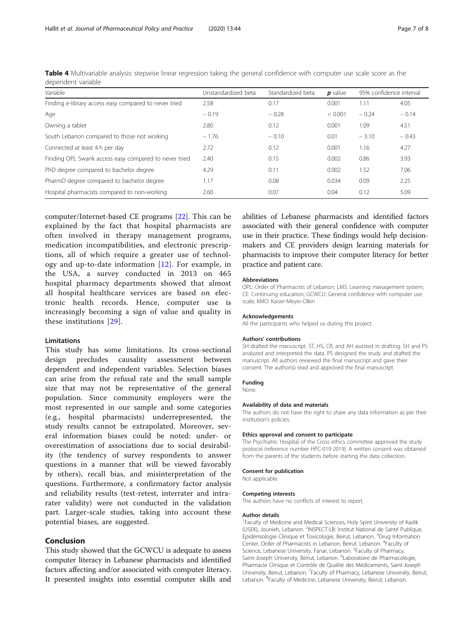| Variable                                              | Unstandardized beta | Standardized beta | $p$ value | 95% confidence interval |         |
|-------------------------------------------------------|---------------------|-------------------|-----------|-------------------------|---------|
| Finding e-library access easy compared to never tried | 2.58                | 0.17              | 0.001     | 1.11                    | 4.05    |
| Age                                                   | $-0.19$             | $-0.28$           | < 0.001   | $-0.24$                 | $-0.14$ |
| Owning a tablet                                       | 2.80                | 0.12              | 0.001     | 1.09                    | 4.51    |
| South Lebanon compared to those not working           | $-1.76$             | $-0.10$           | 0.01      | $-3.10$                 | $-0.43$ |
| Connected at least 4 h per day                        | 2.72                | 0.12              | 0.001     | 1.16                    | 4.27    |
| Finding OPL Swank access easy compared to never tried | 2.40                | 0.15              | 0.002     | 0.86                    | 3.93    |
| PhD degree compared to bachelor degree                | 4.29                | 0.11              | 0.002     | 1.52                    | 7.06    |
| PharmD degree compared to bachelor degree             | 1.17                | 0.08              | 0.034     | 0.09                    | 2.25    |
| Hospital pharmacists compared to non-working          | 2.60                | 0.07              | 0.04      | 0.12                    | 5.09    |

<span id="page-6-0"></span>Table 4 Multivariable analysis: stepwise linear regression taking the general confidence with computer use scale score as the dependent variable

computer/Internet-based CE programs [\[22](#page-7-0)]. This can be explained by the fact that hospital pharmacists are often involved in therapy management programs, medication incompatibilities, and electronic prescriptions, all of which require a greater use of technology and up-to-date information [\[12](#page-7-0)]. For example, in the USA, a survey conducted in 2013 on 465 hospital pharmacy departments showed that almost all hospital healthcare services are based on electronic health records. Hence, computer use is increasingly becoming a sign of value and quality in these institutions [[29](#page-7-0)].

# **Limitations**

This study has some limitations. Its cross-sectional design precludes causality assessment between dependent and independent variables. Selection biases can arise from the refusal rate and the small sample size that may not be representative of the general population. Since community employers were the most represented in our sample and some categories (e.g., hospital pharmacists) underrepresented, the study results cannot be extrapolated. Moreover, several information biases could be noted: under- or overestimation of associations due to social desirability (the tendency of survey respondents to answer questions in a manner that will be viewed favorably by others), recall bias, and misinterpretation of the questions. Furthermore, a confirmatory factor analysis and reliability results (test-retest, interrater and intrarater validity) were not conducted in the validation part. Larger-scale studies, taking into account these potential biases, are suggested.

# Conclusion

This study showed that the GCWCU is adequate to assess computer literacy in Lebanese pharmacists and identified factors affecting and/or associated with computer literacy. It presented insights into essential computer skills and abilities of Lebanese pharmacists and identified factors associated with their general confidence with computer use in their practice. These findings would help decisionmakers and CE providers design learning materials for pharmacists to improve their computer literacy for better practice and patient care.

#### Abbreviations

OPL: Order of Pharmacists of Lebanon; LMS: Learning management system; CE: Continuing education; GCWCU: General confidence with computer use scale; KMO: Kaiser-Meyer-Olkin

#### Acknowledgements

All the participants who helped us during this project.

#### Authors' contributions

SH drafted the manuscript. ST, HS, CR, and AH assisted in drafting. SH and PS analyzed and interpreted the data. PS designed the study and drafted the manuscript. All authors reviewed the final manuscript and gave their consent. The author(s) read and approved the final manuscript.

# Funding

None.

#### Availability of data and materials

The authors do not have the right to share any data information as per their institution's policies.

#### Ethics approval and consent to participate

The Psychiatric Hospital of the Cross ethics committee approved the study protocol (reference number HPC-019-2019). A written consent was obtained from the parents of the students before starting the data collection.

#### Consent for publication

Not applicable.

#### Competing interests

The authors have no conflicts of interest to report.

#### Author details

<sup>1</sup> Faculty of Medicine and Medical Sciences, Holy Spirit University of Kaslik (USEK), Jounieh, Lebanon. <sup>2</sup>INSPECT-LB: Institut National de Santé Publique, Epidémiologie Clinique et Toxicologie, Beirut, Lebanon. <sup>3</sup>Drug Information Center, Order of Pharmacists in Lebanon, Beirut, Lebanon. <sup>4</sup> Faculty of Science, Lebanese University, Fanar, Lebanon. <sup>5</sup>Faculty of Pharmacy Saint-Joseph University, Beirut, Lebanon. <sup>6</sup>Laboratoire de Pharmacologie, Pharmacie Clinique et Contrôle de Qualité des Médicaments, Saint-Joseph University, Beirut, Lebanon. <sup>7</sup> Faculty of Pharmacy, Lebanese University, Beirut Lebanon. <sup>8</sup>Faculty of Medicine, Lebanese University, Beirut, Lebanon.